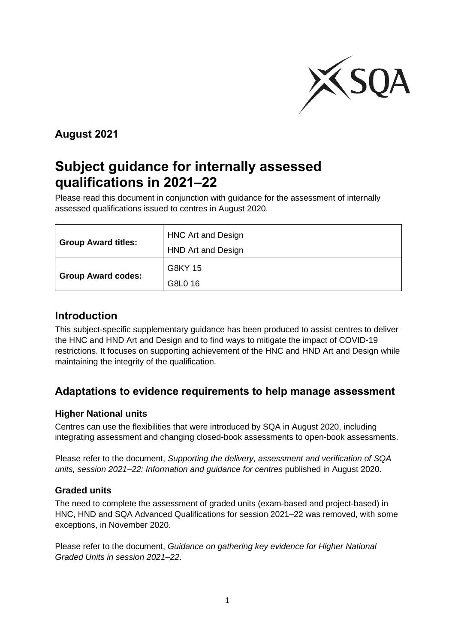

## **August 2021**

# **Subject guidance for internally assessed qualifications in 2021–22**

Please read this document in conjunction with guidance for the assessment of internally assessed qualifications issued to centres in August 2020.

| <b>Group Award titles:</b> | <b>HNC Art and Design</b><br>HND Art and Design |
|----------------------------|-------------------------------------------------|
| <b>Group Award codes:</b>  | G8KY 15<br>G8L0 16                              |

#### **Introduction**

This subject-specific supplementary guidance has been produced to assist centres to deliver the HNC and HND Art and Design and to find ways to mitigate the impact of COVID-19 restrictions. It focuses on supporting achievement of the HNC and HND Art and Design while maintaining the integrity of the qualification.

#### **Adaptations to evidence requirements to help manage assessment**

#### **Higher National units**

Centres can use the flexibilities that were introduced by SQA in August 2020, including integrating assessment and changing closed-book assessments to open-book assessments.

Please refer to the document, *Supporting the delivery, assessment and verification of SQA units, session 2021–22: Information and guidance for centres* published in August 2020.

#### **Graded units**

The need to complete the assessment of graded units (exam-based and project-based) in HNC, HND and SQA Advanced Qualifications for session 2021–22 was removed, with some exceptions, in November 2020.

Please refer to the document, *Guidance on gathering key evidence for Higher National Graded Units in session 2021–22*.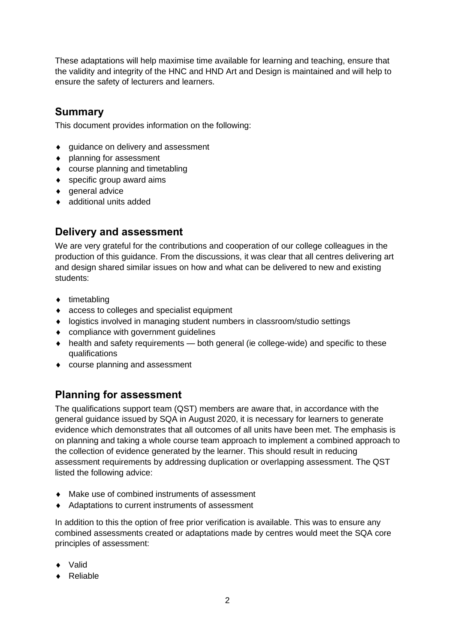These adaptations will help maximise time available for learning and teaching, ensure that the validity and integrity of the HNC and HND Art and Design is maintained and will help to ensure the safety of lecturers and learners.

#### **Summary**

This document provides information on the following:

- ◆ guidance on delivery and assessment
- planning for assessment
- ◆ course planning and timetabling
- ◆ specific group award aims
- ◆ general advice
- ◆ additional units added

#### **Delivery and assessment**

We are very grateful for the contributions and cooperation of our college colleagues in the production of this guidance. From the discussions, it was clear that all centres delivering art and design shared similar issues on how and what can be delivered to new and existing students:

- $\bullet$  timetabling
- ◆ access to colleges and specialist equipment
- logistics involved in managing student numbers in classroom/studio settings
- compliance with government quidelines
- health and safety requirements both general (ie college-wide) and specific to these qualifications
- course planning and assessment

#### **Planning for assessment**

The qualifications support team (QST) members are aware that, in accordance with the general guidance issued by SQA in August 2020, it is necessary for learners to generate evidence which demonstrates that all outcomes of all units have been met. The emphasis is on planning and taking a whole course team approach to implement a combined approach to the collection of evidence generated by the learner. This should result in reducing assessment requirements by addressing duplication or overlapping assessment. The QST listed the following advice:

- Make use of combined instruments of assessment
- Adaptations to current instruments of assessment

In addition to this the option of free prior verification is available. This was to ensure any combined assessments created or adaptations made by centres would meet the SQA core principles of assessment:

- Valid
- Reliable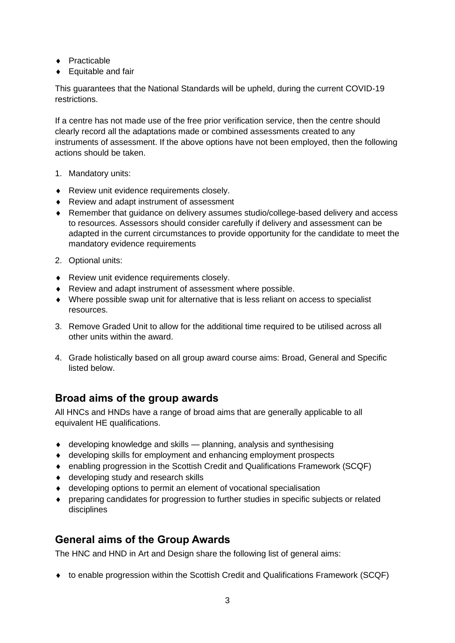- ◆ Practicable
- ◆ Equitable and fair

This guarantees that the National Standards will be upheld, during the current COVID-19 restrictions.

If a centre has not made use of the free prior verification service, then the centre should clearly record all the adaptations made or combined assessments created to any instruments of assessment. If the above options have not been employed, then the following actions should be taken.

- 1. Mandatory units:
- ◆ Review unit evidence requirements closely.
- ◆ Review and adapt instrument of assessment
- Remember that guidance on delivery assumes studio/college-based delivery and access to resources. Assessors should consider carefully if delivery and assessment can be adapted in the current circumstances to provide opportunity for the candidate to meet the mandatory evidence requirements
- 2. Optional units:
- Review unit evidence requirements closely.
- Review and adapt instrument of assessment where possible.
- Where possible swap unit for alternative that is less reliant on access to specialist resources.
- 3. Remove Graded Unit to allow for the additional time required to be utilised across all other units within the award.
- 4. Grade holistically based on all group award course aims: Broad, General and Specific listed below.

#### **Broad aims of the group awards**

All HNCs and HNDs have a range of broad aims that are generally applicable to all equivalent HE qualifications.

- developing knowledge and skills planning, analysis and synthesising
- developing skills for employment and enhancing employment prospects
- enabling progression in the Scottish Credit and Qualifications Framework (SCQF)
- ◆ developing study and research skills
- developing options to permit an element of vocational specialisation
- preparing candidates for progression to further studies in specific subjects or related disciplines

#### **General aims of the Group Awards**

The HNC and HND in Art and Design share the following list of general aims:

to enable progression within the Scottish Credit and Qualifications Framework (SCQF)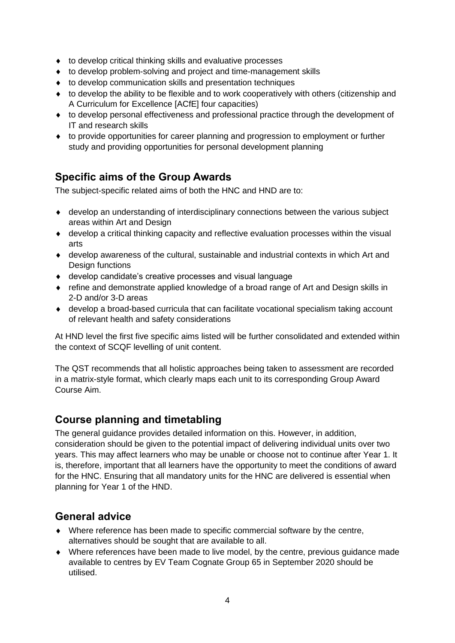- ◆ to develop critical thinking skills and evaluative processes
- to develop problem-solving and project and time-management skills
- to develop communication skills and presentation techniques
- $\bullet$  to develop the ability to be flexible and to work cooperatively with others (citizenship and A Curriculum for Excellence [ACfE] four capacities)
- to develop personal effectiveness and professional practice through the development of IT and research skills
- to provide opportunities for career planning and progression to employment or further study and providing opportunities for personal development planning

## **Specific aims of the Group Awards**

The subject-specific related aims of both the HNC and HND are to:

- develop an understanding of interdisciplinary connections between the various subject areas within Art and Design
- develop a critical thinking capacity and reflective evaluation processes within the visual arts
- develop awareness of the cultural, sustainable and industrial contexts in which Art and Design functions
- develop candidate's creative processes and visual language
- refine and demonstrate applied knowledge of a broad range of Art and Design skills in 2-D and/or 3-D areas
- develop a broad-based curricula that can facilitate vocational specialism taking account of relevant health and safety considerations

At HND level the first five specific aims listed will be further consolidated and extended within the context of SCQF levelling of unit content.

The QST recommends that all holistic approaches being taken to assessment are recorded in a matrix-style format, which clearly maps each unit to its corresponding Group Award Course Aim.

#### **Course planning and timetabling**

The general guidance provides detailed information on this. However, in addition, consideration should be given to the potential impact of delivering individual units over two years. This may affect learners who may be unable or choose not to continue after Year 1. It is, therefore, important that all learners have the opportunity to meet the conditions of award for the HNC. Ensuring that all mandatory units for the HNC are delivered is essential when planning for Year 1 of the HND.

#### **General advice**

- Where reference has been made to specific commercial software by the centre, alternatives should be sought that are available to all.
- Where references have been made to live model, by the centre, previous guidance made available to centres by EV Team Cognate Group 65 in September 2020 should be utilised.